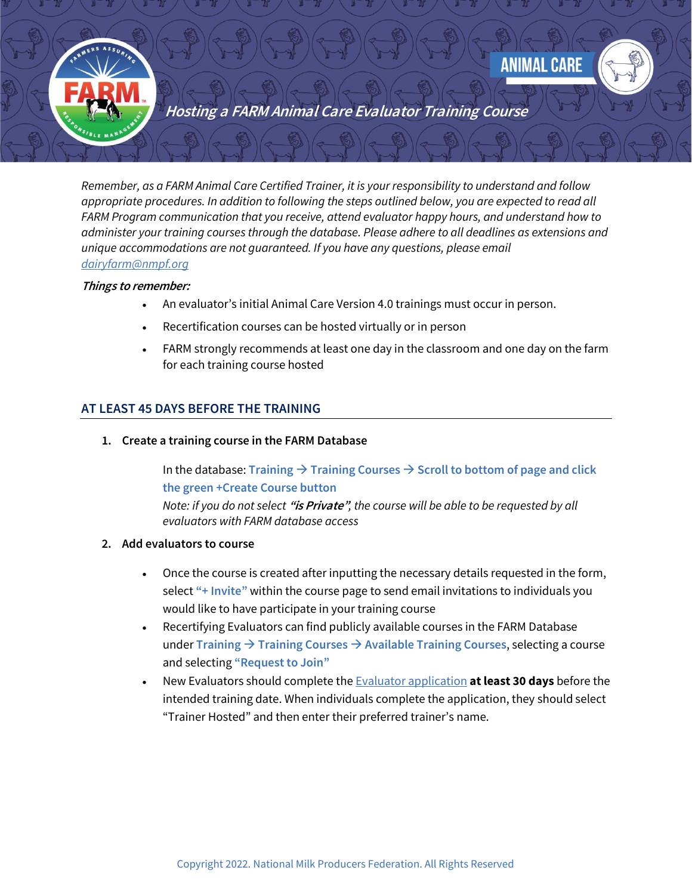



**Hosting a FARM Animal Care Evaluator Training Course**

*Remember, as a FARM Animal Care Certified Trainer, it is your responsibility to understand and follow appropriate procedures. In addition to following the steps outlined below, you are expected to read all FARM Program communication that you receive, attend evaluator happy hours, and understand how to administer your training courses through the database. Please adhere to all deadlines as extensions and unique accommodations are not guaranteed. If you have any questions, please email [dairyfarm@nmpf.org](mailto:dairyfarm@nmpf.org)*

## **Things to remember:**

- An evaluator's initial Animal Care Version 4.0 trainings must occur in person.
- Recertification courses can be hosted virtually or in person
- FARM strongly recommends at least one day in the classroom and one day on the farm for each training course hosted

## **AT LEAST 45 DAYS BEFORE THE TRAINING**

**1. Create a training course in the FARM Database**

In the database: **Training** → **Training Courses** → **Scroll to bottom of page and click the green +Create Course button**

*Note: if you do not select* **"is Private"***, the course will be able to be requested by all evaluators with FARM database access*

## **2. Add evaluators to course**

- Once the course is created after inputting the necessary details requested in the form, select **"+ Invite"** within the course page to send email invitations to individuals you would like to have participate in your training course
- Recertifying Evaluators can find publicly available courses in the FARM Database under **Training** → **Training Courses** → **Available Training Courses**, selecting a course and selecting **"Request to Join"**
- New Evaluators should complete th[e Evaluator application](https://eval.nationaldairyfarm.com/dfdm/apply) **at least 30 days** before the intended training date. When individuals complete the application, they should select "Trainer Hosted" and then enter their preferred trainer's name.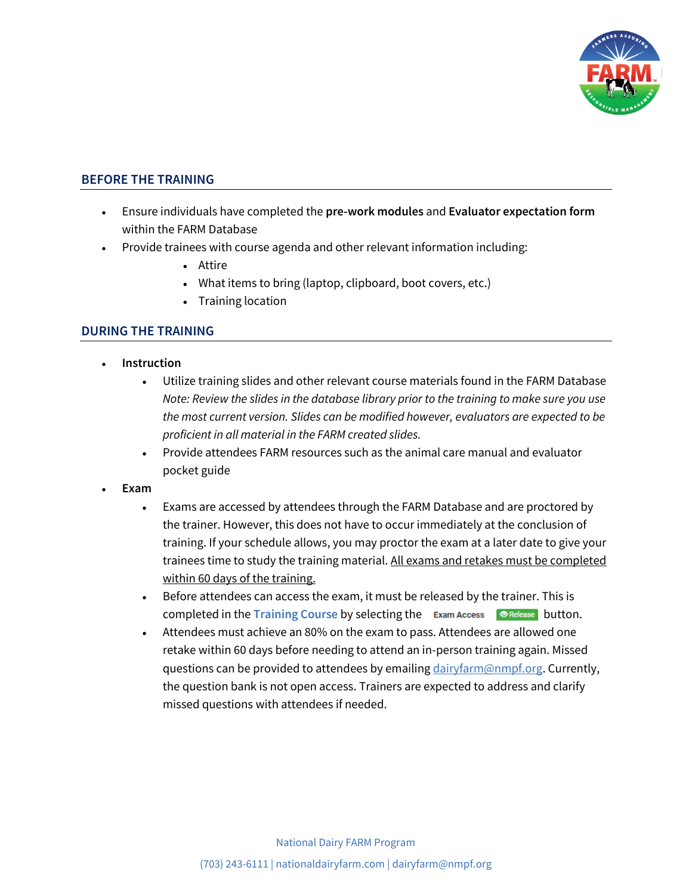

# **BEFORE THE TRAINING**

- Ensure individuals have completed the **pre-work modules** and **Evaluator expectation form**  within the FARM Database
- Provide trainees with course agenda and other relevant information including:
	- Attire
	- What items to bring (laptop, clipboard, boot covers, etc.)
	- Training location

## **DURING THE TRAINING**

- **Instruction**
	- Utilize training slides and other relevant course materials found in the FARM Database *Note: Review the slides in the database library prior to the training to make sure you use the most current version. Slides can be modified however, evaluators are expected to be proficient in all material in the FARM created slides.*
	- Provide attendees FARM resources such as the animal care manual and evaluator pocket guide
- **Exam** 
	- Exams are accessed by attendees through the FARM Database and are proctored by the trainer. However, this does not have to occur immediately at the conclusion of training. If your schedule allows, you may proctor the exam at a later date to give your trainees time to study the training material. All exams and retakes must be completed within 60 days of the training.
	- Before attendees can access the exam, it must be released by the trainer. This is completed in the **Training Course** by selecting the Exam Access **CORECAGE BUTEON.**
	- Attendees must achieve an 80% on the exam to pass. Attendees are allowed one retake within 60 days before needing to attend an in-person training again. Missed questions can be provided to attendees by emailin[g dairyfarm@nmpf.org.](mailto:dairyfarm@nmpf.org) Currently, the question bank is not open access. Trainers are expected to address and clarify missed questions with attendees if needed.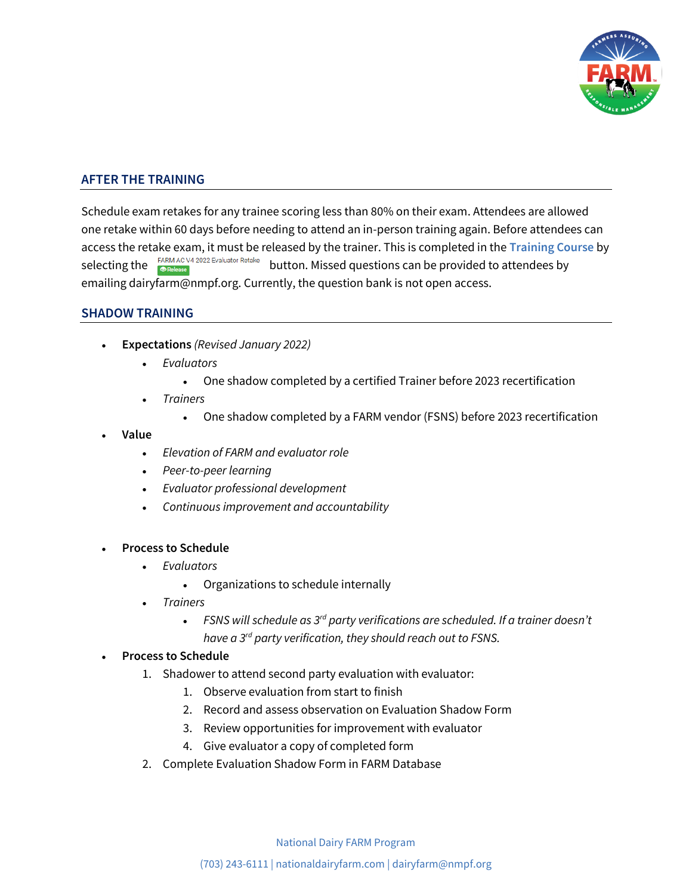

# **AFTER THE TRAINING**

Schedule exam retakes for any trainee scoring less than 80% on their exam. Attendees are allowed one retake within 60 days before needing to attend an in-person training again. Before attendees can access the retake exam, it must be released by the trainer. This is completed in the **Training Course** by<br>selecting the **FARM AC V4 2022 Evaluator Retake** button. Missed questions can be provided to attendees by button. Missed questions can be provided to attendees by emailing dairyfarm@nmpf.org. Currently, the question bank is not open access.

## **SHADOW TRAINING**

- **Expectations** *(Revised January 2022)*
	- *Evaluators*
		- One shadow completed by a certified Trainer before 2023 recertification
	- *Trainers*
		- One shadow completed by a FARM vendor (FSNS) before 2023 recertification
- **Value**
	- *Elevation of FARM and evaluator role*
	- *Peer-to-peer learning*
	- *Evaluator professional development*
	- *Continuous improvement and accountability*

#### • **Process to Schedule**

- *Evaluators*
	- Organizations to schedule internally
- *Trainers*
	- *FSNS will schedule as 3rd party verifications are scheduled. If a trainer doesn't have a 3rd party verification, they should reach out to FSNS.*

#### • **Process to Schedule**

- 1. Shadower to attend second party evaluation with evaluator:
	- 1. Observe evaluation from start to finish
	- 2. Record and assess observation on Evaluation Shadow Form
	- 3. Review opportunities for improvement with evaluator
	- 4. Give evaluator a copy of completed form
- 2. Complete Evaluation Shadow Form in FARM Database